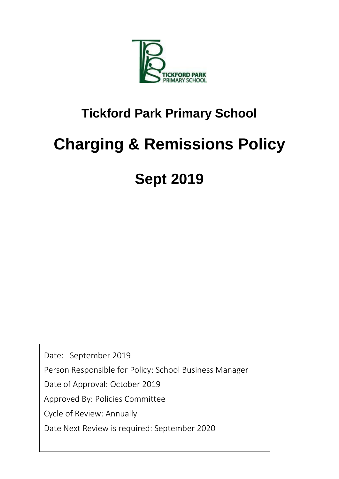

### **Tickford Park Primary School**

# **Charging & Remissions Policy**

## **Sept 2019**

Date: September 2019

Person Responsible for Policy: School Business Manager

Date of Approval: October 2019

Approved By: Policies Committee

Cycle of Review: Annually

Date Next Review is required: September 2020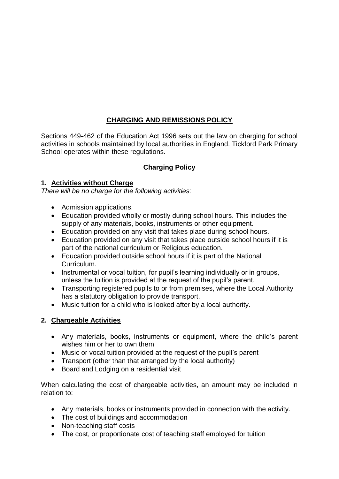#### **CHARGING AND REMISSIONS POLICY**

Sections 449-462 of the Education Act 1996 sets out the law on charging for school activities in schools maintained by local authorities in England. Tickford Park Primary School operates within these regulations.

#### **Charging Policy**

#### **1. Activities without Charge**

*There will be no charge for the following activities:* 

- Admission applications.
- Education provided wholly or mostly during school hours. This includes the supply of any materials, books, instruments or other equipment.
- Education provided on any visit that takes place during school hours.
- Education provided on any visit that takes place outside school hours if it is part of the national curriculum or Religious education.
- Education provided outside school hours if it is part of the National Curriculum.
- Instrumental or vocal tuition, for pupil's learning individually or in groups, unless the tuition is provided at the request of the pupil's parent.
- Transporting registered pupils to or from premises, where the Local Authority has a statutory obligation to provide transport.
- Music tuition for a child who is looked after by a local authority.

#### **2. Chargeable Activities**

- Any materials, books, instruments or equipment, where the child's parent wishes him or her to own them
- Music or vocal tuition provided at the request of the pupil's parent
- Transport (other than that arranged by the local authority)
- Board and Lodging on a residential visit

When calculating the cost of chargeable activities, an amount may be included in relation to:

- Any materials, books or instruments provided in connection with the activity.
- The cost of buildings and accommodation
- Non-teaching staff costs
- The cost, or proportionate cost of teaching staff employed for tuition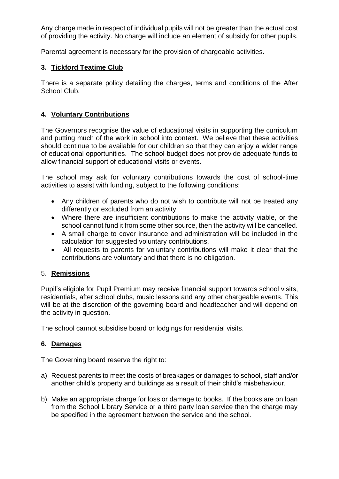Any charge made in respect of individual pupils will not be greater than the actual cost of providing the activity. No charge will include an element of subsidy for other pupils.

Parental agreement is necessary for the provision of chargeable activities.

#### **3. Tickford Teatime Club**

There is a separate policy detailing the charges, terms and conditions of the After School Club.

#### **4. Voluntary Contributions**

The Governors recognise the value of educational visits in supporting the curriculum and putting much of the work in school into context. We believe that these activities should continue to be available for our children so that they can enjoy a wider range of educational opportunities. The school budget does not provide adequate funds to allow financial support of educational visits or events.

The school may ask for voluntary contributions towards the cost of school-time activities to assist with funding, subject to the following conditions:

- Any children of parents who do not wish to contribute will not be treated any differently or excluded from an activity.
- Where there are insufficient contributions to make the activity viable, or the school cannot fund it from some other source, then the activity will be cancelled.
- A small charge to cover insurance and administration will be included in the calculation for suggested voluntary contributions.
- All requests to parents for voluntary contributions will make it clear that the contributions are voluntary and that there is no obligation.

#### 5. **Remissions**

Pupil's eligible for Pupil Premium may receive financial support towards school visits, residentials, after school clubs, music lessons and any other chargeable events. This will be at the discretion of the governing board and headteacher and will depend on the activity in question.

The school cannot subsidise board or lodgings for residential visits.

#### **6. Damages**

The Governing board reserve the right to:

- a) Request parents to meet the costs of breakages or damages to school, staff and/or another child's property and buildings as a result of their child's misbehaviour.
- b) Make an appropriate charge for loss or damage to books. If the books are on loan from the School Library Service or a third party loan service then the charge may be specified in the agreement between the service and the school.